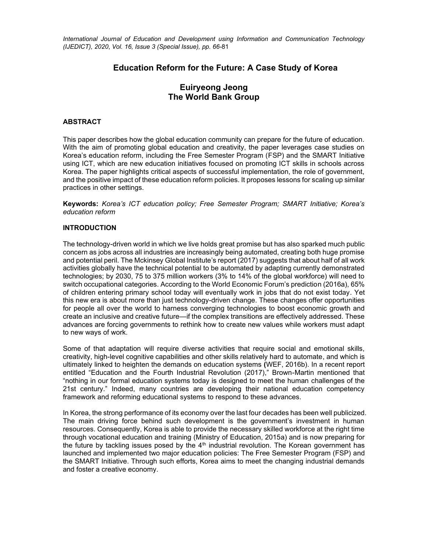*International Journal of Education and Development using Information and Communication Technology (IJEDICT), 2020*, *Vol. 16, Issue 3 (Special Issue), pp. 66-*81

## **Education Reform for the Future: A Case Study of Korea**

# **Euiryeong Jeong The World Bank Group**

## **ABSTRACT**

This paper describes how the global education community can prepare for the future of education. With the aim of promoting global education and creativity, the paper leverages case studies on Korea's education reform, including the Free Semester Program (FSP) and the SMART Initiative using ICT, which are new education initiatives focused on promoting ICT skills in schools across Korea. The paper highlights critical aspects of successful implementation, the role of government, and the positive impact of these education reform policies. It proposes lessons for scaling up similar practices in other settings.

**Keywords:** *Korea's ICT education policy; Free Semester Program; SMART Initiative; Korea's education reform* 

## **INTRODUCTION**

The technology-driven world in which we live holds great promise but has also sparked much public concern as jobs across all industries are increasingly being automated, creating both huge promise and potential peril. The Mckinsey Global Institute's report (2017) suggests that about half of all work activities globally have the technical potential to be automated by adapting currently demonstrated technologies; by 2030, 75 to 375 million workers (3% to 14% of the global workforce) will need to switch occupational categories. According to the World Economic Forum's prediction (2016a), 65% of children entering primary school today will eventually work in jobs that do not exist today. Yet this new era is about more than just technology-driven change. These changes offer opportunities for people all over the world to harness converging technologies to boost economic growth and create an inclusive and creative future—if the complex transitions are effectively addressed. These advances are forcing governments to rethink how to create new values while workers must adapt to new ways of work.

Some of that adaptation will require diverse activities that require social and emotional skills, creativity, high-level cognitive capabilities and other skills relatively hard to automate, and which is ultimately linked to heighten the demands on education systems **(**WEF, 2016b). In a recent report entitled "Education and the Fourth Industrial Revolution (2017)," Brown-Martin mentioned that "nothing in our formal education systems today is designed to meet the human challenges of the 21st century." Indeed, many countries are developing their national education competency framework and reforming educational systems to respond to these advances.

In Korea, the strong performance of its economy over the last four decades has been well publicized. The main driving force behind such development is the government's investment in human resources. Consequently, Korea is able to provide the necessary skilled workforce at the right time through vocational education and training (Ministry of Education, 2015a) and is now preparing for the future by tackling issues posed by the  $4<sup>th</sup>$  industrial revolution. The Korean government has launched and implemented two major education policies: The Free Semester Program (FSP) and the SMART Initiative. Through such efforts, Korea aims to meet the changing industrial demands and foster a creative economy.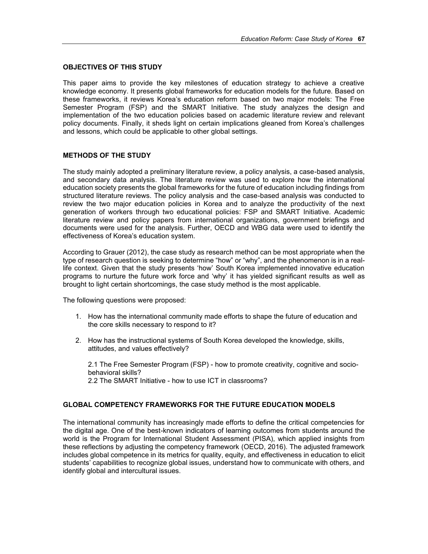### **OBJECTIVES OF THIS STUDY**

This paper aims to provide the key milestones of education strategy to achieve a creative knowledge economy. It presents global frameworks for education models for the future. Based on these frameworks, it reviews Korea's education reform based on two major models: The Free Semester Program (FSP) and the SMART Initiative. The study analyzes the design and implementation of the two education policies based on academic literature review and relevant policy documents. Finally, it sheds light on certain implications gleaned from Korea's challenges and lessons, which could be applicable to other global settings.

#### **METHODS OF THE STUDY**

The study mainly adopted a preliminary literature review, a policy analysis, a case-based analysis, and secondary data analysis. The literature review was used to explore how the international education society presents the global frameworks for the future of education including findings from structured literature reviews. The policy analysis and the case-based analysis was conducted to review the two major education policies in Korea and to analyze the productivity of the next generation of workers through two educational policies: FSP and SMART Initiative. Academic literature review and policy papers from international organizations, government briefings and documents were used for the analysis. Further, OECD and WBG data were used to identify the effectiveness of Korea's education system.

According to Grauer (2012), the case study as research method can be most appropriate when the type of research question is seeking to determine "how" or "why", and the phenomenon is in a reallife context. Given that the study presents 'how' South Korea implemented innovative education programs to nurture the future work force and 'why' it has yielded significant results as well as brought to light certain shortcomings, the case study method is the most applicable.

The following questions were proposed:

- 1. How has the international community made efforts to shape the future of education and the core skills necessary to respond to it?
- 2. How has the instructional systems of South Korea developed the knowledge, skills, attitudes, and values effectively?

2.1 The Free Semester Program (FSP) - how to promote creativity, cognitive and sociobehavioral skills? 2.2 The SMART Initiative - how to use ICT in classrooms?

## **GLOBAL COMPETENCY FRAMEWORKS FOR THE FUTURE EDUCATION MODELS**

The international community has increasingly made efforts to define the critical competencies for the digital age. One of the best-known indicators of learning outcomes from students around the world is the Program for International Student Assessment (PISA), which applied insights from these reflections by adjusting the competency framework (OECD, 2016). The adjusted framework includes global competence in its metrics for quality, equity, and effectiveness in education to elicit students' capabilities to recognize global issues, understand how to communicate with others, and identify global and intercultural issues.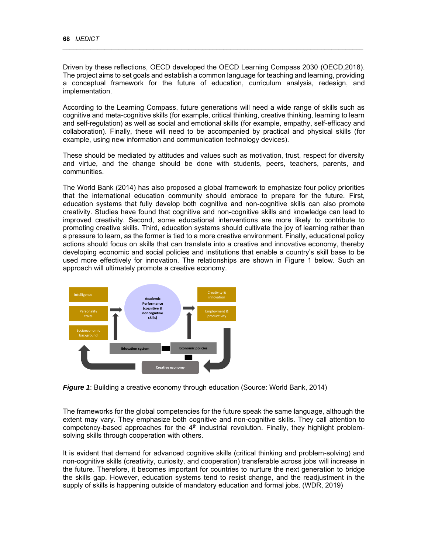Driven by these reflections, OECD developed the OECD Learning Compass 2030 (OECD,2018). The project aims to set goals and establish a common language for teaching and learning, providing a conceptual framework for the future of education, curriculum analysis, redesign, and implementation.

*\_\_\_\_\_\_\_\_\_\_\_\_\_\_\_\_\_\_\_\_\_\_\_\_\_\_\_\_\_\_\_\_\_\_\_\_\_\_\_\_\_\_\_\_\_\_\_\_\_\_\_\_\_\_\_\_\_\_\_\_\_\_\_\_\_\_\_\_\_\_\_\_\_\_\_\_\_\_\_\_\_\_\_\_\_\_*

According to the Learning Compass, future generations will need a wide range of skills such as cognitive and meta-cognitive skills (for example, critical thinking, creative thinking, learning to learn and self-regulation) as well as social and emotional skills (for example, empathy, self-efficacy and collaboration). Finally, these will need to be accompanied by practical and physical skills (for example, using new information and communication technology devices).

These should be mediated by attitudes and values such as motivation, trust, respect for diversity and virtue, and the change should be done with students, peers, teachers, parents, and communities.

The World Bank (2014) has also proposed a global framework to emphasize four policy priorities that the international education community should embrace to prepare for the future. First, education systems that fully develop both cognitive and non-cognitive skills can also promote creativity. Studies have found that cognitive and non-cognitive skills and knowledge can lead to improved creativity. Second, some educational interventions are more likely to contribute to promoting creative skills. Third, education systems should cultivate the joy of learning rather than a pressure to learn, as the former is tied to a more creative environment. Finally, educational policy actions should focus on skills that can translate into a creative and innovative economy, thereby developing economic and social policies and institutions that enable a country's skill base to be used more effectively for innovation. The relationships are shown in Figure 1 below. Such an approach will ultimately promote a creative economy.



*Figure 1*: Building a creative economy through education (Source: World Bank, 2014)

The frameworks for the global competencies for the future speak the same language, although the extent may vary. They emphasize both cognitive and non-cognitive skills. They call attention to competency-based approaches for the  $4<sup>th</sup>$  industrial revolution. Finally, they highlight problemsolving skills through cooperation with others.

It is evident that demand for advanced cognitive skills (critical thinking and problem-solving) and non-cognitive skills (creativity, curiosity, and cooperation) transferable across jobs will increase in the future. Therefore, it becomes important for countries to nurture the next generation to bridge the skills gap. However, education systems tend to resist change, and the readjustment in the supply of skills is happening outside of mandatory education and formal jobs. (WDR, 2019)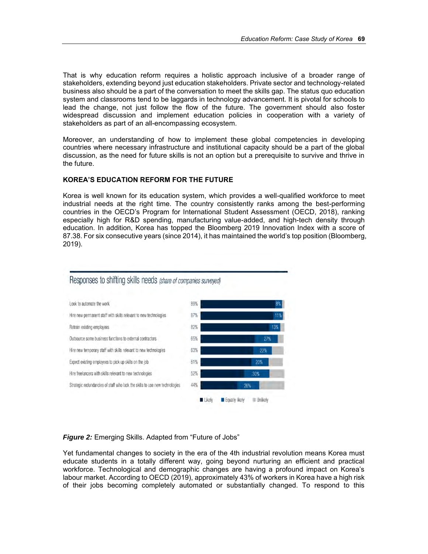That is why education reform requires a holistic approach inclusive of a broader range of stakeholders, extending beyond just education stakeholders. Private sector and technology-related business also should be a part of the conversation to meet the skills gap. The status quo education system and classrooms tend to be laggards in technology advancement. It is pivotal for schools to lead the change, not just follow the flow of the future. The government should also foster widespread discussion and implement education policies in cooperation with a variety of stakeholders as part of an all-encompassing ecosystem.

Moreover, an understanding of how to implement these global competencies in developing countries where necessary infrastructure and institutional capacity should be a part of the global discussion, as the need for future skills is not an option but a prerequisite to survive and thrive in the future.

## **KOREA'S EDUCATION REFORM FOR THE FUTURE**

Korea is well known for its education system, which provides a well-qualified workforce to meet industrial needs at the right time. The country consistently ranks among the best-performing countries in the OECD's Program for International Student Assessment (OECD, 2018), ranking especially high for R&D spending, manufacturing value-added, and high-tech density through education. In addition, Korea has topped the Bloomberg 2019 Innovation Index with a score of 87.38. For six consecutive years (since 2014), it has maintained the world's top position (Bloomberg, 2019).



## *Figure 2:* Emerging Skills. Adapted from "Future of Jobs"

Yet fundamental changes to society in the era of the 4th industrial revolution means Korea must educate students in a totally different way, going beyond nurturing an efficient and practical workforce. Technological and demographic changes are having a profound impact on Korea's labour market. According to OECD (2019), approximately 43% of workers in Korea have a high risk of their jobs becoming completely automated or substantially changed. To respond to this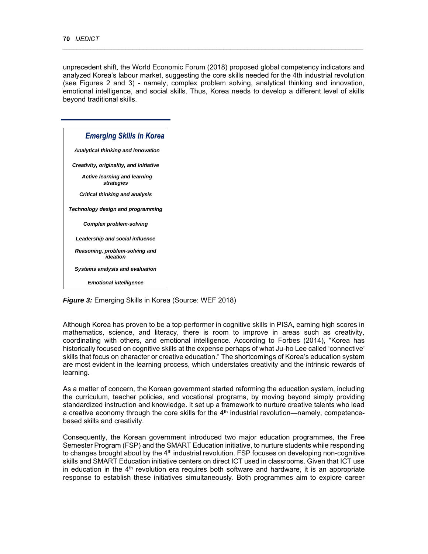unprecedent shift, the World Economic Forum (2018) proposed global competency indicators and analyzed Korea's labour market, suggesting the core skills needed for the 4th industrial revolution (see Figures 2 and 3) - namely, complex problem solving, analytical thinking and innovation, emotional intelligence, and social skills. Thus, Korea needs to develop a different level of skills beyond traditional skills.

*\_\_\_\_\_\_\_\_\_\_\_\_\_\_\_\_\_\_\_\_\_\_\_\_\_\_\_\_\_\_\_\_\_\_\_\_\_\_\_\_\_\_\_\_\_\_\_\_\_\_\_\_\_\_\_\_\_\_\_\_\_\_\_\_\_\_\_\_\_\_\_\_\_\_\_\_\_\_\_\_\_\_\_\_\_\_*

| <b>Emerging Skills in Korea</b>                   |
|---------------------------------------------------|
| Analytical thinking and innovation                |
| Creativity, originality, and initiative           |
| <b>Active learning and learning</b><br>strategies |
| Critical thinking and analysis                    |
| Technology design and programming                 |
| <b>Complex problem-solving</b>                    |
| Leadership and social influence                   |
| Reasoning, problem-solving and<br>ideation        |
| <b>Systems analysis and evaluation</b>            |
| <b>Emotional intelligence</b>                     |

**Figure 3:** Emerging Skills in Korea (Source: WEF 2018)

Although Korea has proven to be a top performer in cognitive skills in PISA, earning high scores in mathematics, science, and literacy, there is room to improve in areas such as creativity, coordinating with others, and emotional intelligence. According to Forbes (2014), "Korea has historically focused on cognitive skills at the expense perhaps of what Ju-ho Lee called 'connective' skills that focus on character or creative education." The shortcomings of Korea's education system are most evident in the learning process, which understates creativity and the intrinsic rewards of learning.

As a matter of concern, the Korean government started reforming the education system, including the curriculum, teacher policies, and vocational programs, by moving beyond simply providing standardized instruction and knowledge. It set up a framework to nurture creative talents who lead a creative economy through the core skills for the  $4<sup>th</sup>$  industrial revolution—namely, competencebased skills and creativity.

Consequently, the Korean government introduced two major education programmes, the Free Semester Program (FSP) and the SMART Education initiative, to nurture students while responding to changes brought about by the  $4<sup>th</sup>$  industrial revolution. FSP focuses on developing non-cognitive skills and SMART Education initiative centers on direct ICT used in classrooms. Given that ICT use in education in the  $4<sup>th</sup>$  revolution era requires both software and hardware, it is an appropriate response to establish these initiatives simultaneously. Both programmes aim to explore career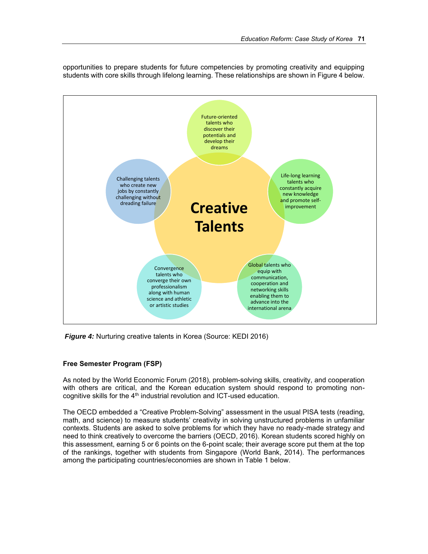

opportunities to prepare students for future competencies by promoting creativity and equipping students with core skills through lifelong learning. These relationships are shown in Figure 4 below.

**Figure 4:** Nurturing creative talents in Korea (Source: KEDI 2016)

## **Free Semester Program (FSP)**

As noted by the World Economic Forum (2018), problem-solving skills, creativity, and cooperation with others are critical, and the Korean education system should respond to promoting noncognitive skills for the 4<sup>th</sup> industrial revolution and ICT-used education.

The OECD embedded a "Creative Problem-Solving" assessment in the usual PISA tests (reading, math, and science) to measure students' creativity in solving unstructured problems in unfamiliar contexts. Students are asked to solve problems for which they have no ready-made strategy and need to think creatively to overcome the barriers (OECD, 2016). Korean students scored highly on this assessment, earning 5 or 6 points on the 6-point scale; their average score put them at the top of the rankings, together with students from Singapore (World Bank, 2014). The performances among the participating countries/economies are shown in Table 1 below.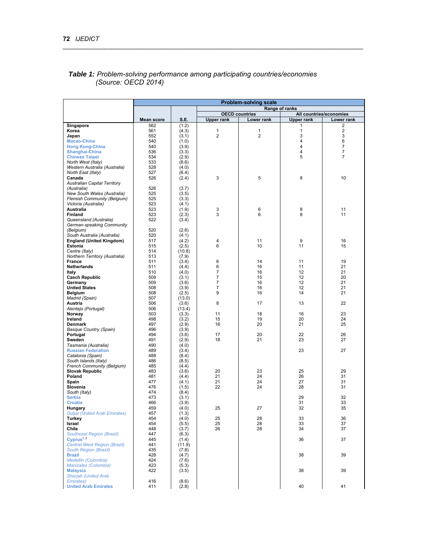|                                                     | <b>Problem-solving scale</b> |                 |                       |                |                   |                              |
|-----------------------------------------------------|------------------------------|-----------------|-----------------------|----------------|-------------------|------------------------------|
|                                                     |                              |                 |                       |                | Range of ranks    |                              |
|                                                     |                              |                 | <b>OECD</b> countries |                |                   | All countries/economies      |
|                                                     | <b>Mean score</b>            | S.E.            | <b>Upper rank</b>     | Lower rank     | Upper rank        | Lower rank                   |
| Singapore<br>Korea                                  | 562<br>561                   | (1.2)<br>(4.3)  | 1                     | 1              | 1<br>$\mathbf{1}$ | 2<br>$\overline{\mathbf{c}}$ |
| Japan                                               | 552                          | (3.1)           | $\overline{2}$        | $\overline{2}$ | 3                 | 3                            |
| <b>Macao-China</b>                                  | 540                          | (1.0)           |                       |                | 4                 | 6                            |
| <b>Hong Kong-China</b>                              | 540                          | (3.9)           |                       |                | $\overline{4}$    | $\overline{7}$               |
| Shanghai-China                                      | 536                          | (3.3)           |                       |                | 4                 | $\overline{7}$               |
| <b>Chinese Taipei</b>                               | 534                          | (2.9)           |                       |                | 5                 | $\overline{7}$               |
| North West (Italy)                                  | 533<br>528                   | (8.6)           |                       |                |                   |                              |
| Western Australia (Australia)<br>North East (Italy) | 527                          | (4.0)<br>(6.4)  |                       |                |                   |                              |
| Canada                                              | 526                          | (2.4)           | 3                     | 5              | 8                 | 10                           |
| <b>Australian Capital Territory</b>                 |                              |                 |                       |                |                   |                              |
| (Australia)                                         | 526                          | (3.7)           |                       |                |                   |                              |
| New South Wales (Australia)                         | 525                          | (3.5)           |                       |                |                   |                              |
| <b>Flemish Community (Belgium)</b>                  | 525                          | (3.3)           |                       |                |                   |                              |
| Victoria (Australia)<br>Australia                   | 523<br>523                   | (4.1)<br>(1.9)  | 3                     | 6              | 8                 | 11                           |
| <b>Finland</b>                                      | 523                          | (2.3)           | 3                     | 6              | 8                 | 11                           |
| Queensland (Australia)                              | 522                          | (3.4)           |                       |                |                   |                              |
| German-speaking Community                           |                              |                 |                       |                |                   |                              |
| (Belgium)                                           | 520                          | (2.6)           |                       |                |                   |                              |
| South Australia (Australia)                         | 520                          | (4.1)           |                       |                |                   |                              |
| <b>England (United Kingdom)</b>                     | 517                          | (4.2)           | 4                     | 11             | 9                 | 16                           |
| <b>Estonia</b><br>Centre (Italy)                    | 515<br>514                   | (2.5)<br>(10.8) | 6                     | 10             | 11                | 15                           |
| Northern Territory (Australia)                      | 513                          | (7.9)           |                       |                |                   |                              |
| <b>France</b>                                       | 511                          | (3.4)           | 6                     | 14             | 11                | 19                           |
| <b>Netherlands</b>                                  | 511                          | (4.4)           | 6                     | 16             | 11                | 21                           |
| Italy                                               | 510                          | (4.0)           | 7                     | 16             | 12                | 21                           |
| <b>Czech Republic</b>                               | 509                          | (3.1)           | 7                     | 15             | 12                | 20                           |
| Germany<br><b>United States</b>                     | 509<br>508                   | (3.6)<br>(3.9)  | 7<br>7                | 16<br>16       | 12<br>12          | 21<br>21                     |
| Belgium                                             | 508                          | (2.5)           | 9                     | 16             | 14                | 21                           |
| Madrid (Spain)                                      | 507                          | (13.0)          |                       |                |                   |                              |
| Austria                                             | 506                          | (3.6)           | 8                     | 17             | 13                | 22                           |
| Alentejo (Portugal)                                 | 506                          | (13.4)          |                       |                |                   |                              |
| Norway                                              | 503                          | (3.3)           | 11                    | 18             | 16                | 23                           |
| Ireland<br><b>Denmark</b>                           | 498<br>497                   | (3.2)<br>(2.9)  | 15<br>16              | 19<br>20       | 20<br>21          | 24<br>25                     |
| <b>Basque Country (Spain)</b>                       | 496                          | (3.9)           |                       |                |                   |                              |
| Portugal                                            | 494                          | (3.6)           | 17                    | 20             | 22                | 26                           |
| Sweden                                              | 491                          | (2.9)           | 18                    | 21             | 23                | 27                           |
| Tasmania (Australia)                                | 490                          | (4.0)           |                       |                |                   |                              |
| <b>Russian Federation</b>                           | 489                          | (3.4)           |                       |                | 23                | 27                           |
| Catalonia (Spain)<br>South Islands (Italy)          | 488<br>486                   | (8.4)<br>(8.5)  |                       |                |                   |                              |
| French Community (Belgium)                          | 485                          | (4.4)           |                       |                |                   |                              |
| <b>Slovak Republic</b>                              | 483                          | (3.6)           | 20                    | 23             | 25                | 29                           |
| Poland                                              | 481                          | (4.4)           | 21                    | 24             | 26                | 31                           |
| Spain                                               | 477                          | (4.1)           | 21                    | 24             | 27                | 31                           |
| Slovenia                                            | 476                          | (1.5)           | 22                    | 24             | 28                | 31                           |
| South (Italy)<br><b>Serbia</b>                      | 474<br>473                   | (8.4)<br>(3.1)  |                       |                | 29                | 32                           |
| <b>Croatia</b>                                      | 466                          | (3.9)           |                       |                | 31                | 33                           |
| Hungary                                             | 459                          | (4.0)           | 25                    | 27             | 32                | 35                           |
| Dubai (United Arab Emirates)                        | 457                          | (1.3)           |                       |                |                   |                              |
| Turkey                                              | 454                          | (4.0)           | 25                    | 28             | 33                | 36                           |
| Israel<br>Chile                                     | 454<br>448                   | (5.5)           | 25<br>26              | 28<br>28       | 33<br>34          | 37<br>37                     |
| <b>Southeast Region (Brazil)</b>                    | 447                          | (3.7)<br>(6.3)  |                       |                |                   |                              |
| Cyprus <sup>1, 2</sup>                              | 445                          | (1.4)           |                       |                | 36                | 37                           |
| <b>Central-West Region (Brazil)</b>                 | 441                          | (11.9)          |                       |                |                   |                              |
| <b>South Region (Brazil)</b>                        | 435                          | (7.8)           |                       |                |                   |                              |
| <b>Brazil</b>                                       | 428                          | (4.7)           |                       |                | 38                | 39                           |
| Medellín (Colombia)<br><b>Manizales (Colombia)</b>  | 424<br>423                   | (7.6)           |                       |                |                   |                              |
| <b>Malaysia</b>                                     | 422                          | (5.3)<br>(3.5)  |                       |                | 38                | 39                           |
| <b>Sharjah (United Arab</b>                         |                              |                 |                       |                |                   |                              |
| Emirates)                                           | 416                          | (8.6)           |                       |                |                   |                              |
| <b>United Arab Emirates</b>                         | 411                          | (2.8)           |                       |                | 40                | 41                           |

## *Table 1: Problem-solving performance among participating countries/economies (Source: OECD 2014)*

*\_\_\_\_\_\_\_\_\_\_\_\_\_\_\_\_\_\_\_\_\_\_\_\_\_\_\_\_\_\_\_\_\_\_\_\_\_\_\_\_\_\_\_\_\_\_\_\_\_\_\_\_\_\_\_\_\_\_\_\_\_\_\_\_\_\_\_\_\_\_\_\_\_\_\_\_\_\_\_\_\_\_\_\_\_\_*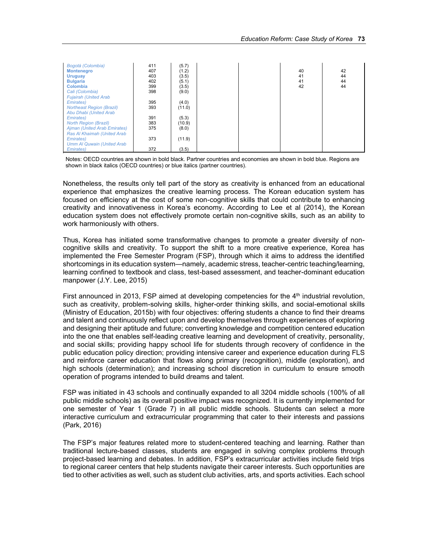| Bogotá (Colombia)                 | 411 | (5.7)  |
|-----------------------------------|-----|--------|
| <b>Montenegro</b>                 | 407 | (1.2)  |
| <b>Uruguay</b>                    | 403 | (3.5)  |
| <b>Bulgaria</b>                   | 402 | (5.1)  |
| <b>Colombia</b>                   | 399 | (3.5)  |
| Cali (Colombia)                   | 398 | (9.0)  |
| <b>Fujairah (United Arab</b>      |     |        |
| Emirates)                         | 395 | (4.0)  |
| <b>Northeast Region (Brazil)</b>  | 393 | (11.0) |
| Abu Dhabi (United Arab            |     |        |
| Emirates)                         | 391 | (5.3)  |
| <b>North Region (Brazil)</b>      | 383 | (10.9) |
| Ajman (United Arab Emirates)      | 375 | (8.0)  |
| Ras Al Khaimah (United Arab       |     |        |
| Emirates)                         | 373 | (11.9) |
| <b>Umm AI Quwain (United Arab</b> |     |        |
| <b>Emirates</b> )                 | 372 | (3.5)  |

Notes: OECD countries are shown in bold black. Partner countries and economies are shown in bold blue. Regions are shown in black italics (OECD countries) or blue italics (partner countries).

Nonetheless, the results only tell part of the story as creativity is enhanced from an educational experience that emphasizes the creative learning process. The Korean education system has focused on efficiency at the cost of some non-cognitive skills that could contribute to enhancing creativity and innovativeness in Korea's economy. According to Lee et al (2014), the Korean education system does not effectively promote certain non-cognitive skills, such as an ability to work harmoniously with others.

Thus, Korea has initiated some transformative changes to promote a greater diversity of noncognitive skills and creativity. To support the shift to a more creative experience, Korea has implemented the Free Semester Program (FSP), through which it aims to address the identified shortcomings in its education system—namely, academic stress, teacher-centric teaching/learning, learning confined to textbook and class, test-based assessment, and teacher-dominant education manpower (J.Y. Lee, 2015)

First announced in 2013, FSP aimed at developing competencies for the 4<sup>th</sup> industrial revolution, such as creativity, problem-solving skills, higher-order thinking skills, and social-emotional skills (Ministry of Education, 2015b) with four objectives: offering students a chance to find their dreams and talent and continuously reflect upon and develop themselves through experiences of exploring and designing their aptitude and future; converting knowledge and competition centered education into the one that enables self-leading creative learning and development of creativity, personality, and social skills; providing happy school life for students through recovery of confidence in the public education policy direction; providing intensive career and experience education during FLS and reinforce career education that flows along primary (recognition), middle (exploration), and high schools (determination); and increasing school discretion in curriculum to ensure smooth operation of programs intended to build dreams and talent.

FSP was initiated in 43 schools and continually expanded to all 3204 middle schools (100% of all public middle schools) as its overall positive impact was recognized. It is currently implemented for one semester of Year 1 (Grade 7) in all public middle schools. Students can select a more interactive curriculum and extracurricular programming that cater to their interests and passions (Park, 2016)

The FSP's major features related more to student-centered teaching and learning. Rather than traditional lecture-based classes, students are engaged in solving complex problems through project-based learning and debates. In addition, FSP's extracurricular activities include field trips to regional career centers that help students navigate their career interests. Such opportunities are tied to other activities as well, such as student club activities, arts, and sports activities. Each school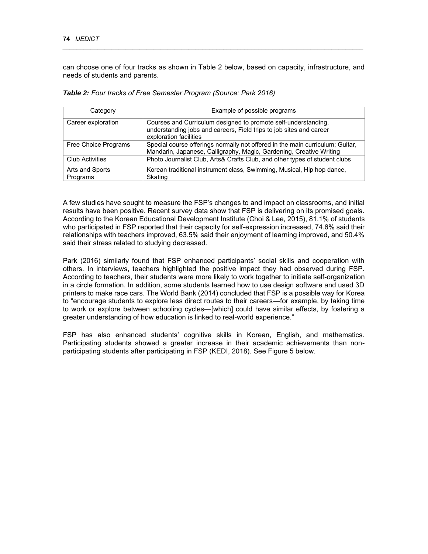can choose one of four tracks as shown in Table 2 below, based on capacity, infrastructure, and needs of students and parents.

*\_\_\_\_\_\_\_\_\_\_\_\_\_\_\_\_\_\_\_\_\_\_\_\_\_\_\_\_\_\_\_\_\_\_\_\_\_\_\_\_\_\_\_\_\_\_\_\_\_\_\_\_\_\_\_\_\_\_\_\_\_\_\_\_\_\_\_\_\_\_\_\_\_\_\_\_\_\_\_\_\_\_\_\_\_\_*

| Category               | Example of possible programs                                                  |
|------------------------|-------------------------------------------------------------------------------|
|                        |                                                                               |
| Career exploration     | Courses and Curriculum designed to promote self-understanding,                |
|                        | understanding jobs and careers, Field trips to job sites and career           |
|                        | exploration facilities                                                        |
| Free Choice Programs   | Special course offerings normally not offered in the main curriculum; Guitar, |
|                        | Mandarin, Japanese, Calligraphy, Magic, Gardening, Creative Writing           |
| <b>Club Activities</b> | Photo Journalist Club, Arts& Crafts Club, and other types of student clubs    |
| Arts and Sports        | Korean traditional instrument class, Swimming, Musical, Hip hop dance,        |
| Programs               | Skating                                                                       |

*Table 2: Four tracks of Free Semester Program (Source: Park 2016)*

A few studies have sought to measure the FSP's changes to and impact on classrooms, and initial results have been positive. Recent survey data show that FSP is delivering on its promised goals. According to the Korean Educational Development Institute (Choi & Lee, 2015), 81.1% of students who participated in FSP reported that their capacity for self-expression increased, 74.6% said their relationships with teachers improved, 63.5% said their enjoyment of learning improved, and 50.4% said their stress related to studying decreased.

Park (2016) similarly found that FSP enhanced participants' social skills and cooperation with others. In interviews, teachers highlighted the positive impact they had observed during FSP. According to teachers, their students were more likely to work together to initiate self-organization in a circle formation. In addition, some students learned how to use design software and used 3D printers to make race cars. The World Bank (2014) concluded that FSP is a possible way for Korea to "encourage students to explore less direct routes to their careers—for example, by taking time to work or explore between schooling cycles—[which] could have similar effects, by fostering a greater understanding of how education is linked to real-world experience."

FSP has also enhanced students' cognitive skills in Korean, English, and mathematics. Participating students showed a greater increase in their academic achievements than nonparticipating students after participating in FSP (KEDI, 2018). See Figure 5 below.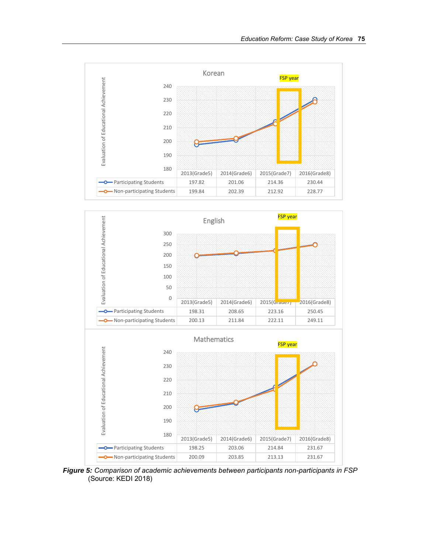



*Figure 5: Comparison of academic achievements between participants non-participants in FSP* (Source: KEDI 2018)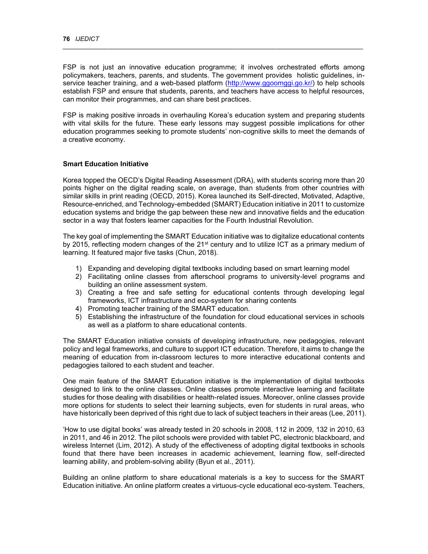FSP is not just an innovative education programme; it involves orchestrated efforts among policymakers, teachers, parents, and students. The government provides holistic guidelines, in-service teacher training, and a web-based platform [\(http://www.ggoomggi.go.kr/\)](http://www.ggoomggi.go.kr/) to help schools establish FSP and ensure that students, parents, and teachers have access to helpful resources, can monitor their programmes, and can share best practices.

*\_\_\_\_\_\_\_\_\_\_\_\_\_\_\_\_\_\_\_\_\_\_\_\_\_\_\_\_\_\_\_\_\_\_\_\_\_\_\_\_\_\_\_\_\_\_\_\_\_\_\_\_\_\_\_\_\_\_\_\_\_\_\_\_\_\_\_\_\_\_\_\_\_\_\_\_\_\_\_\_\_\_\_\_\_\_*

FSP is making positive inroads in overhauling Korea's education system and preparing students with vital skills for the future. These early lessons may suggest possible implications for other education programmes seeking to promote students' non-cognitive skills to meet the demands of a creative economy.

#### **Smart Education Initiative**

Korea topped the OECD's Digital Reading Assessment (DRA), with students scoring more than 20 points higher on the digital reading scale, on average, than students from other countries with similar skills in print reading (OECD, 2015). Korea launched its Self-directed, Motivated, Adaptive, Resource-enriched, and Technology-embedded (SMART) Education initiative in 2011 to customize education systems and bridge the gap between these new and innovative fields and the education sector in a way that fosters learner capacities for the Fourth Industrial Revolution.

The key goal of implementing the SMART Education initiative was to digitalize educational contents by 2015, reflecting modern changes of the 21<sup>st</sup> century and to utilize ICT as a primary medium of learning. It featured major five tasks (Chun, 2018).

- 1) Expanding and developing digital textbooks including based on smart learning model
- 2) Facilitating online classes from afterschool programs to university-level programs and building an online assessment system.
- 3) Creating a free and safe setting for educational contents through developing legal frameworks, ICT infrastructure and eco-system for sharing contents
- 4) Promoting teacher training of the SMART education.
- 5) Establishing the infrastructure of the foundation for cloud educational services in schools as well as a platform to share educational contents.

The SMART Education initiative consists of developing infrastructure, new pedagogies, relevant policy and legal frameworks, and culture to support ICT education. Therefore, it aims to change the meaning of education from in-classroom lectures to more interactive educational contents and pedagogies tailored to each student and teacher.

One main feature of the SMART Education initiative is the implementation of digital textbooks designed to link to the online classes. Online classes promote interactive learning and facilitate studies for those dealing with disabilities or health-related issues. Moreover, online classes provide more options for students to select their learning subjects, even for students in rural areas, who have historically been deprived of this right due to lack of subject teachers in their areas (Lee, 2011).

'How to use digital books' was already tested in 20 schools in 2008, 112 in 2009, 132 in 2010, 63 in 2011, and 46 in 2012. The pilot schools were provided with tablet PC, electronic blackboard, and wireless Internet (Lim, 2012). A study of the effectiveness of adopting digital textbooks in schools found that there have been increases in academic achievement, learning flow, self-directed learning ability, and problem-solving ability (Byun et al., 2011).

Building an online platform to share educational materials is a key to success for the SMART Education initiative. An online platform creates a virtuous-cycle educational eco-system. Teachers,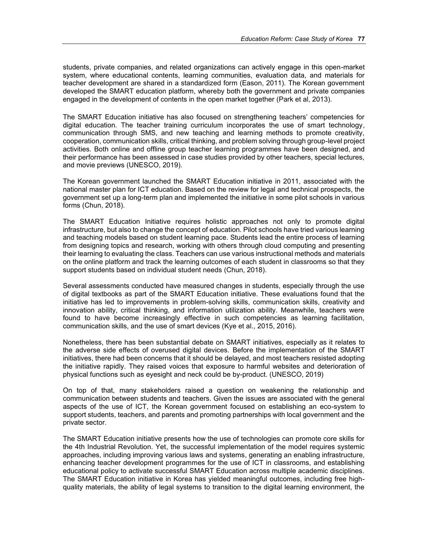students, private companies, and related organizations can actively engage in this open-market system, where educational contents, learning communities, evaluation data, and materials for teacher development are shared in a standardized form (Eason, 2011). The Korean government developed the SMART education platform, whereby both the government and private companies engaged in the development of contents in the open market together (Park et al, 2013).

The SMART Education initiative has also focused on strengthening teachers' competencies for digital education. The teacher training curriculum incorporates the use of smart technology, communication through SMS, and new teaching and learning methods to promote creativity, cooperation, communication skills, critical thinking, and problem solving through group-level project activities. Both online and offline group teacher learning programmes have been designed, and their performance has been assessed in case studies provided by other teachers, special lectures, and movie previews (UNESCO, 2019).

The Korean government launched the SMART Education initiative in 2011, associated with the national master plan for ICT education. Based on the review for legal and technical prospects, the government set up a long-term plan and implemented the initiative in some pilot schools in various forms (Chun, 2018).

The SMART Education Initiative requires holistic approaches not only to promote digital infrastructure, but also to change the concept of education. Pilot schools have tried various learning and teaching models based on student learning pace. Students lead the entire process of learning from designing topics and research, working with others through cloud computing and presenting their learning to evaluating the class. Teachers can use various instructional methods and materials on the online platform and track the learning outcomes of each student in classrooms so that they support students based on individual student needs (Chun, 2018).

Several assessments conducted have measured changes in students, especially through the use of digital textbooks as part of the SMART Education initiative. These evaluations found that the initiative has led to improvements in problem-solving skills, communication skills, creativity and innovation ability, critical thinking, and information utilization ability. Meanwhile, teachers were found to have become increasingly effective in such competencies as learning facilitation, communication skills, and the use of smart devices (Kye et al., 2015, 2016).

Nonetheless, there has been substantial debate on SMART initiatives, especially as it relates to the adverse side effects of overused digital devices. Before the implementation of the SMART initiatives, there had been concerns that it should be delayed, and most teachers resisted adopting the initiative rapidly. They raised voices that exposure to harmful websites and deterioration of physical functions such as eyesight and neck could be by-product. (UNESCO, 2019)

On top of that, many stakeholders raised a question on weakening the relationship and communication between students and teachers. Given the issues are associated with the general aspects of the use of ICT, the Korean government focused on establishing an eco-system to support students, teachers, and parents and promoting partnerships with local government and the private sector.

The SMART Education initiative presents how the use of technologies can promote core skills for the 4th Industrial Revolution. Yet, the successful implementation of the model requires systemic approaches, including improving various laws and systems, generating an enabling infrastructure, enhancing teacher development programmes for the use of ICT in classrooms, and establishing educational policy to activate successful SMART Education across multiple academic disciplines. The SMART Education initiative in Korea has yielded meaningful outcomes, including free highquality materials, the ability of legal systems to transition to the digital learning environment, the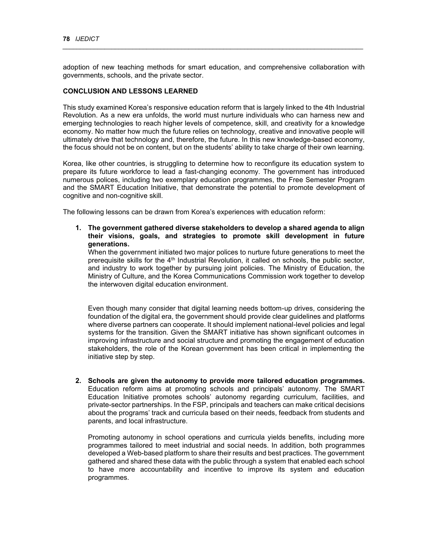adoption of new teaching methods for smart education, and comprehensive collaboration with governments, schools, and the private sector.

*\_\_\_\_\_\_\_\_\_\_\_\_\_\_\_\_\_\_\_\_\_\_\_\_\_\_\_\_\_\_\_\_\_\_\_\_\_\_\_\_\_\_\_\_\_\_\_\_\_\_\_\_\_\_\_\_\_\_\_\_\_\_\_\_\_\_\_\_\_\_\_\_\_\_\_\_\_\_\_\_\_\_\_\_\_\_*

#### **CONCLUSION AND LESSONS LEARNED**

This study examined Korea's responsive education reform that is largely linked to the 4th Industrial Revolution. As a new era unfolds, the world must nurture individuals who can harness new and emerging technologies to reach higher levels of competence, skill, and creativity for a knowledge economy. No matter how much the future relies on technology, creative and innovative people will ultimately drive that technology and, therefore, the future. In this new knowledge-based economy, the focus should not be on content, but on the students' ability to take charge of their own learning.

Korea, like other countries, is struggling to determine how to reconfigure its education system to prepare its future workforce to lead a fast-changing economy. The government has introduced numerous polices, including two exemplary education programmes, the Free Semester Program and the SMART Education Initiative, that demonstrate the potential to promote development of cognitive and non-cognitive skill.

The following lessons can be drawn from Korea's experiences with education reform:

**1. The government gathered diverse stakeholders to develop a shared agenda to align their visions, goals, and strategies to promote skill development in future generations.**

When the government initiated two major polices to nurture future generations to meet the prerequisite skills for the 4th Industrial Revolution, it called on schools, the public sector, and industry to work together by pursuing joint policies. The Ministry of Education, the Ministry of Culture, and the Korea Communications Commission work together to develop the interwoven digital education environment.

Even though many consider that digital learning needs bottom-up drives, considering the foundation of the digital era, the government should provide clear guidelines and platforms where diverse partners can cooperate. It should implement national-level policies and legal systems for the transition. Given the SMART initiative has shown significant outcomes in improving infrastructure and social structure and promoting the engagement of education stakeholders, the role of the Korean government has been critical in implementing the initiative step by step.

**2. Schools are given the autonomy to provide more tailored education programmes.** Education reform aims at promoting schools and principals' autonomy. The SMART Education Initiative promotes schools' autonomy regarding curriculum, facilities, and private-sector partnerships. In the FSP, principals and teachers can make critical decisions about the programs' track and curricula based on their needs, feedback from students and parents, and local infrastructure.

Promoting autonomy in school operations and curricula yields benefits, including more programmes tailored to meet industrial and social needs. In addition, both programmes developed a Web-based platform to share their results and best practices. The government gathered and shared these data with the public through a system that enabled each school to have more accountability and incentive to improve its system and education programmes.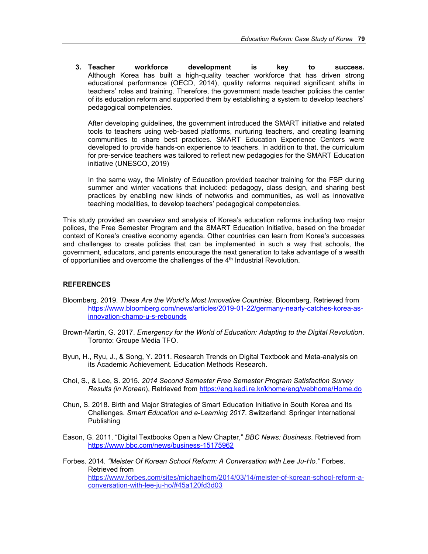**3. Teacher workforce development is key to success.** Although Korea has built a high-quality teacher workforce that has driven strong educational performance (OECD, 2014), quality reforms required significant shifts in teachers' roles and training. Therefore, the government made teacher policies the center of its education reform and supported them by establishing a system to develop teachers' pedagogical competencies.

After developing guidelines, the government introduced the SMART initiative and related tools to teachers using web-based platforms, nurturing teachers, and creating learning communities to share best practices. SMART Education Experience Centers were developed to provide hands-on experience to teachers. In addition to that, the curriculum for pre-service teachers was tailored to reflect new pedagogies for the SMART Education initiative (UNESCO, 2019)

In the same way, the Ministry of Education provided teacher training for the FSP during summer and winter vacations that included: pedagogy, class design, and sharing best practices by enabling new kinds of networks and communities, as well as innovative teaching modalities, to develop teachers' pedagogical competencies.

This study provided an overview and analysis of Korea's education reforms including two major polices, the Free Semester Program and the SMART Education Initiative, based on the broader context of Korea's creative economy agenda. Other countries can learn from Korea's successes and challenges to create policies that can be implemented in such a way that schools, the government, educators, and parents encourage the next generation to take advantage of a wealth of opportunities and overcome the challenges of the  $4<sup>th</sup>$  Industrial Revolution.

## **REFERENCES**

- Bloomberg. 2019. *These Are the World's Most Innovative Countries*. Bloomberg. Retrieved from [https://www.bloomberg.com/news/articles/2019-01-22/germany-nearly-catches-korea-as](https://www.bloomberg.com/news/articles/2019-01-22/germany-nearly-catches-korea-as-innovation-champ-u-s-rebounds)[innovation-champ-u-s-rebounds](https://www.bloomberg.com/news/articles/2019-01-22/germany-nearly-catches-korea-as-innovation-champ-u-s-rebounds)
- Brown-Martin, G. 2017. *Emergency for the World of Education: Adapting to the Digital Revolution*. Toronto: Groupe Média TFO.
- Byun, H., Ryu, J., & Song, Y. 2011. Research Trends on Digital Textbook and Meta-analysis on its Academic Achievement. Education Methods Research.
- Choi, S., & Lee, S. 2015. *2014 Second Semester Free Semester Program Satisfaction Survey Results (in Korean*), Retrieved from<https://eng.kedi.re.kr/khome/eng/webhome/Home.do>
- Chun, S. 2018. Birth and Major Strategies of Smart Education Initiative in South Korea and Its Challenges. *Smart Education and e-Learning 2017*. Switzerland: Springer International Publishing
- Eason, G. 2011. "Digital Textbooks Open a New Chapter," *BBC News: Business*. Retrieved from <https://www.bbc.com/news/business-15175962>
- Forbes. 2014*. "Meister Of Korean School Reform: A Conversation with Lee Ju-Ho."* Forbes. Retrieved from [https://www.forbes.com/sites/michaelhorn/2014/03/14/meister-of-korean-school-reform-a](https://www.forbes.com/sites/michaelhorn/2014/03/14/meister-of-korean-school-reform-a-conversation-with-lee-ju-ho/#45a120fd3d03)[conversation-with-lee-ju-ho/#45a120fd3d03](https://www.forbes.com/sites/michaelhorn/2014/03/14/meister-of-korean-school-reform-a-conversation-with-lee-ju-ho/#45a120fd3d03)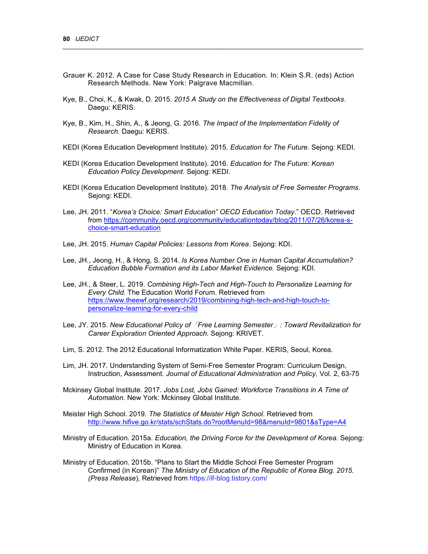Grauer K. 2012. A Case for Case Study Research in Education. In: Klein S.R. (eds) Action Research Methods. New York: Palgrave Macmillan.

*\_\_\_\_\_\_\_\_\_\_\_\_\_\_\_\_\_\_\_\_\_\_\_\_\_\_\_\_\_\_\_\_\_\_\_\_\_\_\_\_\_\_\_\_\_\_\_\_\_\_\_\_\_\_\_\_\_\_\_\_\_\_\_\_\_\_\_\_\_\_\_\_\_\_\_\_\_\_\_\_\_\_\_\_\_\_*

- Kye, B., Choi, K., & Kwak, D. 2015. *2015 A Study on the Effectiveness of Digital Textbooks*. Daegu: KERIS.
- Kye, B., Kim, H., Shin, A., & Jeong, G. 2016. *The Impact of the Implementation Fidelity of Research.* Daegu: KERIS.
- KEDI (Korea Education Development Institute). 2015. *Education for The Future*. Sejong: KEDI.
- KEDI (Korea Education Development Institute). 2016. *Education for The Future: Korean Education Policy Development.* Sejong: KEDI.
- KEDI (Korea Education Development Institute). 2018. *The Analysis of Free Semester Programs*. Sejong: KEDI.
- Lee, JH. 2011. "*Korea's Choice: Smart Education" OECD Education Today*." OECD. Retrieved from [https://community.oecd.org/community/educationtoday/blog/2011/07/26/korea-s](https://community.oecd.org/community/educationtoday/blog/2011/07/26/korea-s-choice-smart-education)[choice-smart-education](https://community.oecd.org/community/educationtoday/blog/2011/07/26/korea-s-choice-smart-education)
- Lee, JH. 2015. *Human Capital Policies: Lessons from Korea*. Sejong: KDI.
- Lee, JH., Jeong, H., & Hong, S. 2014. *Is Korea Number One in Human Capital Accumulation? Education Bubble Formation and its Labor Market Evidence.* Sejong: KDI.
- Lee, JH., & Steer, L. 2019. *Combining High-Tech and High-Touch to Personalize Learning for Every Child.* The Education World Forum. Retrieved from [https://www.theewf.org/research/2019/combining-high-tech-and-high-touch-to](https://www.theewf.org/research/2019/combining-high-tech-and-high-touch-to-personalize-learning-for-every-child)[personalize-learning-for-every-child](https://www.theewf.org/research/2019/combining-high-tech-and-high-touch-to-personalize-learning-for-every-child)
- Lee, JY. 2015. *New Educational Policy of*「*Free Learning Semester*」*: Toward Revitalization for Career Exploration Oriented Approach.* Sejong: KRIVET.
- Lim, S. 2012. The 2012 Educational Informatization White Paper. KERIS, Seoul, Korea.
- Lim, JH. 2017. Understanding System of Semi-Free Semester Program: Curriculum Design, Instruction, Assessment. *Journal of Educational Administration and Policy,* Vol. 2, 63-75
- Mckinsey Global Institute. 2017. *Jobs Lost, Jobs Gained: Workforce Transitions in A Time of Automation.* New York: Mckinsey Global Institute.
- Meister High School. 2019. *The Statistics of Meister High School*. Retrieved from <http://www.hifive.go.kr/stats/schStats.do?rootMenuId=98&menuId=9801&sType=A4>
- Ministry of Education. 2015a. *Education, the Driving Force for the Development of Korea.* Sejong: Ministry of Education in Korea.
- Ministry of Education. 2015b. "Plans to Start the Middle School Free Semester Program Confirmed (in Korean)" *The Ministry of Education of the Republic of Korea Blog. 2015. (Press Release*), Retrieved from https://if-blog.tistory.com/